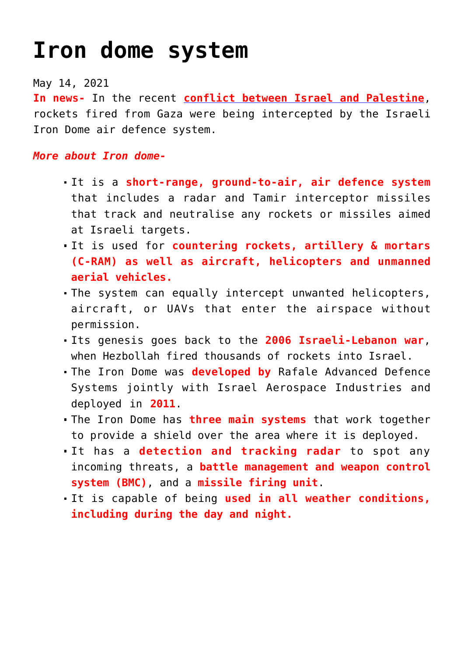## **[Iron dome system](https://journalsofindia.com/iron-dome-system/)**

## May 14, 2021

**In news-** In the recent **[conflict between Israel and Palestine](https://indianexpress.com/article/world/35-killed-in-gaza-3-in-israel-as-violence-escalates-7311597/)**, rockets fired from Gaza were being intercepted by the Israeli Iron Dome air defence system.

## *More about Iron dome-*

- It is a **short-range, ground-to-air, air defence system** that includes a radar and Tamir interceptor missiles that track and neutralise any rockets or missiles aimed at Israeli targets.
- It is used for **countering rockets, artillery & mortars (C-RAM) as well as aircraft, helicopters and unmanned aerial vehicles.**
- The system can equally intercept unwanted helicopters, aircraft, or UAVs that enter the airspace without permission.
- Its genesis goes back to the **2006 Israeli-Lebanon war**, when Hezbollah fired thousands of rockets into Israel.
- The Iron Dome was **developed by** Rafale Advanced Defence Systems jointly with Israel Aerospace Industries and deployed in **2011**.
- The Iron Dome has **three main systems** that work together to provide a shield over the area where it is deployed.
- It has a **detection and tracking radar** to spot any incoming threats, a **battle management and weapon control system (BMC)**, and a **missile firing unit**.
- It is capable of being **used in all weather conditions, including during the day and night.**